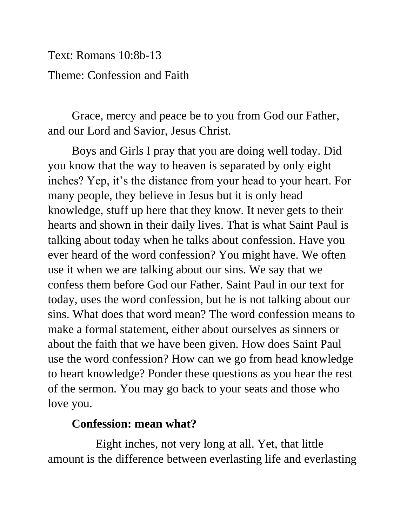Text: Romans 10:8b-13 Theme: Confession and Faith

Grace, mercy and peace be to you from God our Father, and our Lord and Savior, Jesus Christ.

Boys and Girls I pray that you are doing well today. Did you know that the way to heaven is separated by only eight inches? Yep, it's the distance from your head to your heart. For many people, they believe in Jesus but it is only head knowledge, stuff up here that they know. It never gets to their hearts and shown in their daily lives. That is what Saint Paul is talking about today when he talks about confession. Have you ever heard of the word confession? You might have. We often use it when we are talking about our sins. We say that we confess them before God our Father. Saint Paul in our text for today, uses the word confession, but he is not talking about our sins. What does that word mean? The word confession means to make a formal statement, either about ourselves as sinners or about the faith that we have been given. How does Saint Paul use the word confession? How can we go from head knowledge to heart knowledge? Ponder these questions as you hear the rest of the sermon. You may go back to your seats and those who love you.

## **Confession: mean what?**

Eight inches, not very long at all. Yet, that little amount is the difference between everlasting life and everlasting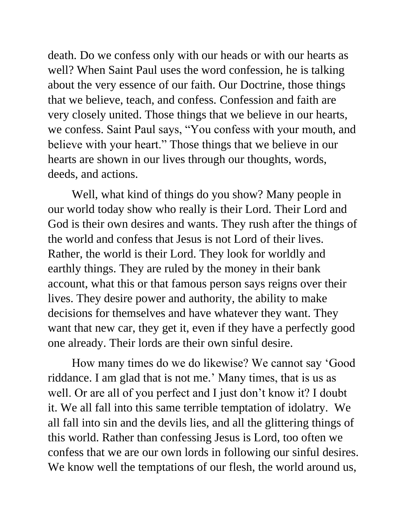death. Do we confess only with our heads or with our hearts as well? When Saint Paul uses the word confession, he is talking about the very essence of our faith. Our Doctrine, those things that we believe, teach, and confess. Confession and faith are very closely united. Those things that we believe in our hearts, we confess. Saint Paul says, "You confess with your mouth, and believe with your heart." Those things that we believe in our hearts are shown in our lives through our thoughts, words, deeds, and actions.

Well, what kind of things do you show? Many people in our world today show who really is their Lord. Their Lord and God is their own desires and wants. They rush after the things of the world and confess that Jesus is not Lord of their lives. Rather, the world is their Lord. They look for worldly and earthly things. They are ruled by the money in their bank account, what this or that famous person says reigns over their lives. They desire power and authority, the ability to make decisions for themselves and have whatever they want. They want that new car, they get it, even if they have a perfectly good one already. Their lords are their own sinful desire.

How many times do we do likewise? We cannot say 'Good riddance. I am glad that is not me.' Many times, that is us as well. Or are all of you perfect and I just don't know it? I doubt it. We all fall into this same terrible temptation of idolatry. We all fall into sin and the devils lies, and all the glittering things of this world. Rather than confessing Jesus is Lord, too often we confess that we are our own lords in following our sinful desires. We know well the temptations of our flesh, the world around us,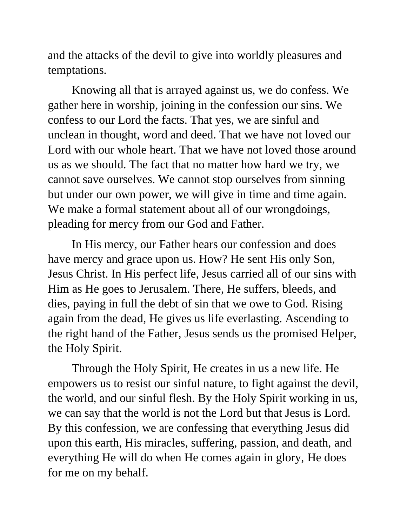and the attacks of the devil to give into worldly pleasures and temptations.

Knowing all that is arrayed against us, we do confess. We gather here in worship, joining in the confession our sins. We confess to our Lord the facts. That yes, we are sinful and unclean in thought, word and deed. That we have not loved our Lord with our whole heart. That we have not loved those around us as we should. The fact that no matter how hard we try, we cannot save ourselves. We cannot stop ourselves from sinning but under our own power, we will give in time and time again. We make a formal statement about all of our wrongdoings, pleading for mercy from our God and Father.

In His mercy, our Father hears our confession and does have mercy and grace upon us. How? He sent His only Son, Jesus Christ. In His perfect life, Jesus carried all of our sins with Him as He goes to Jerusalem. There, He suffers, bleeds, and dies, paying in full the debt of sin that we owe to God. Rising again from the dead, He gives us life everlasting. Ascending to the right hand of the Father, Jesus sends us the promised Helper, the Holy Spirit.

Through the Holy Spirit, He creates in us a new life. He empowers us to resist our sinful nature, to fight against the devil, the world, and our sinful flesh. By the Holy Spirit working in us, we can say that the world is not the Lord but that Jesus is Lord. By this confession, we are confessing that everything Jesus did upon this earth, His miracles, suffering, passion, and death, and everything He will do when He comes again in glory, He does for me on my behalf.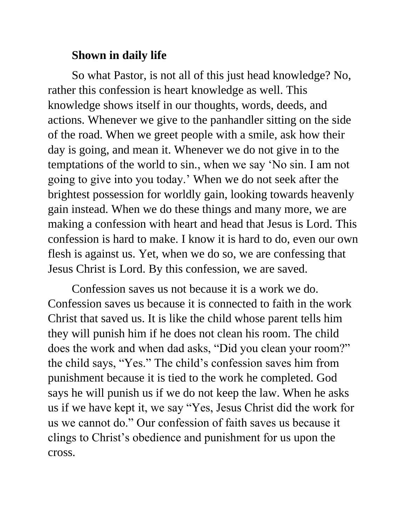## **Shown in daily life**

So what Pastor, is not all of this just head knowledge? No, rather this confession is heart knowledge as well. This knowledge shows itself in our thoughts, words, deeds, and actions. Whenever we give to the panhandler sitting on the side of the road. When we greet people with a smile, ask how their day is going, and mean it. Whenever we do not give in to the temptations of the world to sin., when we say 'No sin. I am not going to give into you today.' When we do not seek after the brightest possession for worldly gain, looking towards heavenly gain instead. When we do these things and many more, we are making a confession with heart and head that Jesus is Lord. This confession is hard to make. I know it is hard to do, even our own flesh is against us. Yet, when we do so, we are confessing that Jesus Christ is Lord. By this confession, we are saved.

Confession saves us not because it is a work we do. Confession saves us because it is connected to faith in the work Christ that saved us. It is like the child whose parent tells him they will punish him if he does not clean his room. The child does the work and when dad asks, "Did you clean your room?" the child says, "Yes." The child's confession saves him from punishment because it is tied to the work he completed. God says he will punish us if we do not keep the law. When he asks us if we have kept it, we say "Yes, Jesus Christ did the work for us we cannot do." Our confession of faith saves us because it clings to Christ's obedience and punishment for us upon the cross.